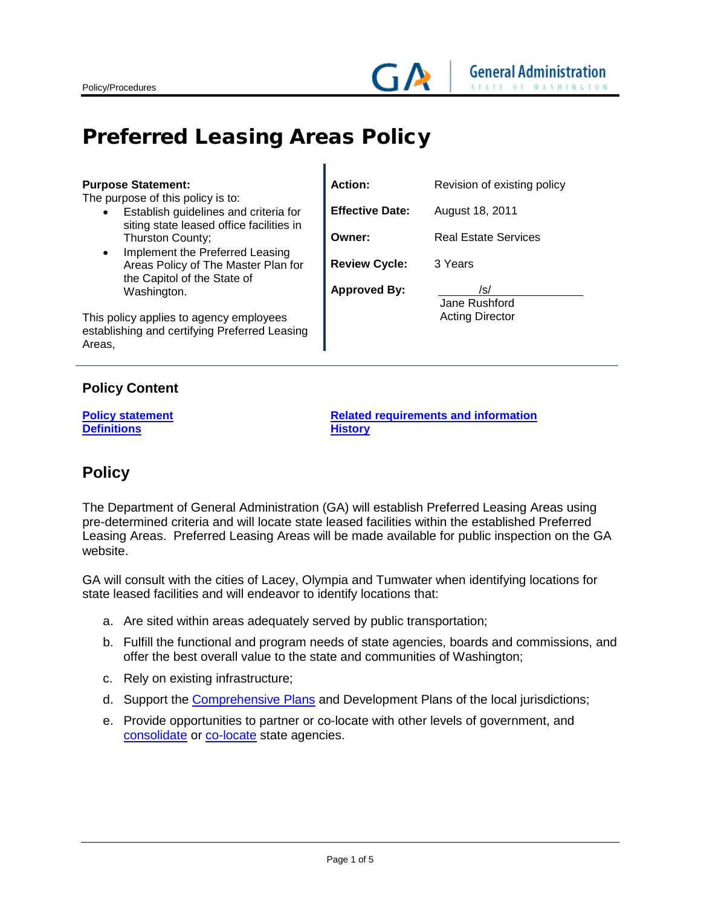# <span id="page-0-1"></span>Preferred Leasing Areas Policy

| <b>Purpose Statement:</b>                                                                                                           | <b>Action:</b>         | Revision of existing policy |
|-------------------------------------------------------------------------------------------------------------------------------------|------------------------|-----------------------------|
| The purpose of this policy is to:<br>Establish guidelines and criteria for<br>$\bullet$<br>siting state leased office facilities in | <b>Effective Date:</b> | August 18, 2011             |
| Thurston County;<br>Implement the Preferred Leasing                                                                                 | Owner:                 | <b>Real Estate Services</b> |
| $\bullet$<br>Areas Policy of The Master Plan for<br>the Capitol of the State of                                                     | <b>Review Cycle:</b>   | 3 Years                     |
| Washington.                                                                                                                         | <b>Approved By:</b>    | /s/<br>Jane Rushford        |
| This policy applies to agency employees<br>establishing and certifying Preferred Leasing<br>Areas,                                  |                        | <b>Acting Director</b>      |

T

## **Policy Content**

**[Definitions](#page-3-1)** 

**Policy statement**<br> **[Related requirements and information](#page-3-0)**<br> **Related requirements and information**<br> **Related requirements and information** 

# **Policy**

The Department of General Administration (GA) will establish Preferred Leasing Areas using pre-determined criteria and will locate state leased facilities within the established Preferred Leasing Areas. Preferred Leasing Areas will be made available for public inspection on the GA website.

GA will consult with the cities of Lacey, Olympia and Tumwater when identifying locations for state leased facilities and will endeavor to identify locations that:

- a. Are sited within areas adequately served by public transportation;
- b. Fulfill the functional and program needs of state agencies, boards and commissions, and offer the best overall value to the state and communities of Washington;
- c. Rely on existing infrastructure;
- d. Support the [Comprehensive Plans](#page-1-0) and Development Plans of the local jurisdictions;
- <span id="page-0-0"></span>e. Provide opportunities to partner or co-locate with other levels of government, and [consolidate](#page-3-3) or [co-locate](#page-0-0) state agencies.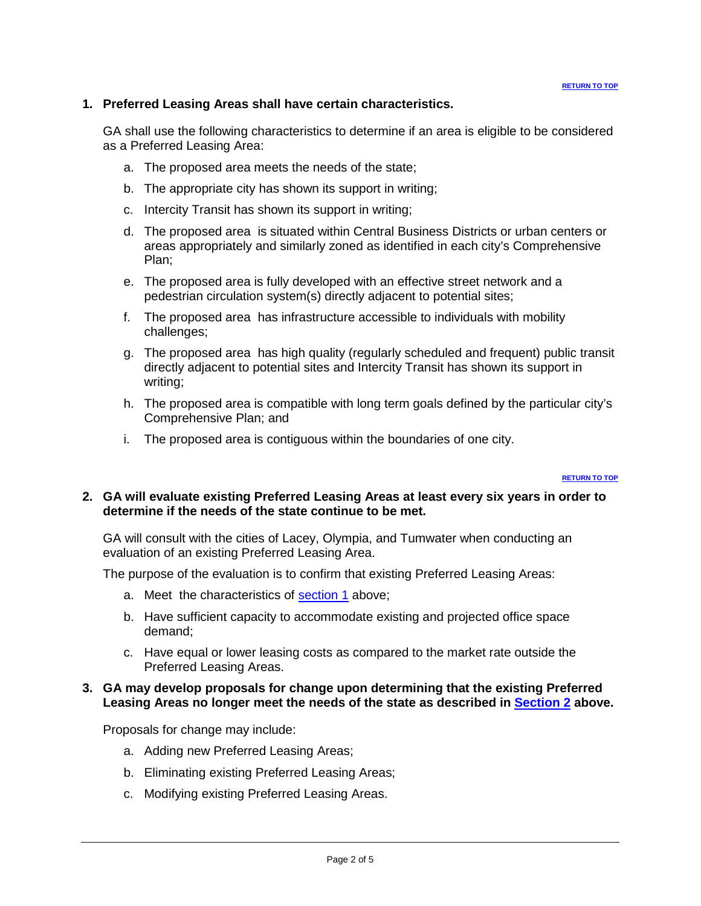### **1. Preferred Leasing Areas shall have certain characteristics.**

GA shall use the following characteristics to determine if an area is eligible to be considered as a Preferred Leasing Area:

- a. The proposed area meets the needs of the state;
- b. The appropriate city has shown its support in writing;
- c. Intercity Transit has shown its support in writing;
- d. The proposed area is situated within Central Business Districts or urban centers or areas appropriately and similarly zoned as identified in each city's Comprehensive Plan;
- e. The proposed area is fully developed with an effective street network and a pedestrian circulation system(s) directly adjacent to potential sites;
- f. The proposed area has infrastructure accessible to individuals with mobility challenges;
- g. The proposed area has high quality (regularly scheduled and frequent) public transit directly adjacent to potential sites and Intercity Transit has shown its support in writing;
- h. The proposed area is compatible with long term goals defined by the particular city's Comprehensive Plan; and
- i. The proposed area is contiguous within the boundaries of one city.

#### <span id="page-1-1"></span><span id="page-1-0"></span>**[RETURN TO TOP](#page-0-1)**

### <span id="page-1-2"></span>**2. GA will evaluate existing Preferred Leasing Areas at least every six years in order to determine if the needs of the state continue to be met.**

GA will consult with the cities of Lacey, Olympia, and Tumwater when conducting an evaluation of an existing Preferred Leasing Area.

The purpose of the evaluation is to confirm that existing Preferred Leasing Areas:

- a. Meet the characteristics of **section 1** above;
- b. Have sufficient capacity to accommodate existing and projected office space demand;
- c. Have equal or lower leasing costs as compared to the market rate outside the Preferred Leasing Areas.

### **3. GA may develop proposals for change upon determining that the existing Preferred Leasing Areas no longer meet the needs of the state as described in [Section 2](#page-1-2) above.**

Proposals for change may include:

- a. Adding new Preferred Leasing Areas;
- b. Eliminating existing Preferred Leasing Areas;
- c. Modifying existing Preferred Leasing Areas.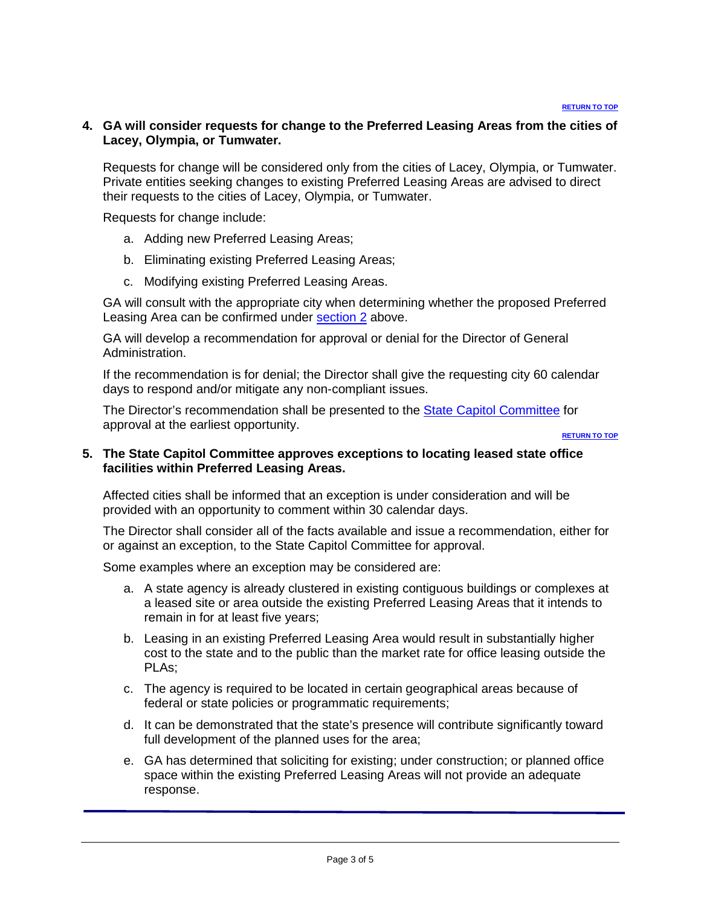### **4. GA will consider requests for change to the Preferred Leasing Areas from the cities of Lacey, Olympia, or Tumwater.**

Requests for change will be considered only from the cities of Lacey, Olympia, or Tumwater. Private entities seeking changes to existing Preferred Leasing Areas are advised to direct their requests to the cities of Lacey, Olympia, or Tumwater.

Requests for change include:

- a. Adding new Preferred Leasing Areas;
- b. Eliminating existing Preferred Leasing Areas;
- c. Modifying existing Preferred Leasing Areas.

GA will consult with the appropriate city when determining whether the proposed Preferred Leasing Area can be confirmed under [section 2](#page-1-2) above.

GA will develop a recommendation for approval or denial for the Director of General Administration.

If the recommendation is for denial; the Director shall give the requesting city 60 calendar days to respond and/or mitigate any non-compliant issues.

The Director's recommendation shall be presented to the [State Capitol Committee](http://www.ga.wa.gov/SCC) for approval at the earliest opportunity.

**[RETURN TO TOP](#page-0-1)**

### **5. The State Capitol Committee approves exceptions to locating leased state office facilities within Preferred Leasing Areas.**

Affected cities shall be informed that an exception is under consideration and will be provided with an opportunity to comment within 30 calendar days.

The Director shall consider all of the facts available and issue a recommendation, either for or against an exception, to the State Capitol Committee for approval.

Some examples where an exception may be considered are:

- a. A state agency is already clustered in existing contiguous buildings or complexes at a leased site or area outside the existing Preferred Leasing Areas that it intends to remain in for at least five years;
- b. Leasing in an existing Preferred Leasing Area would result in substantially higher cost to the state and to the public than the market rate for office leasing outside the PLAs;
- c. The agency is required to be located in certain geographical areas because of federal or state policies or programmatic requirements;
- d. It can be demonstrated that the state's presence will contribute significantly toward full development of the planned uses for the area;
- e. GA has determined that soliciting for existing; under construction; or planned office space within the existing Preferred Leasing Areas will not provide an adequate response.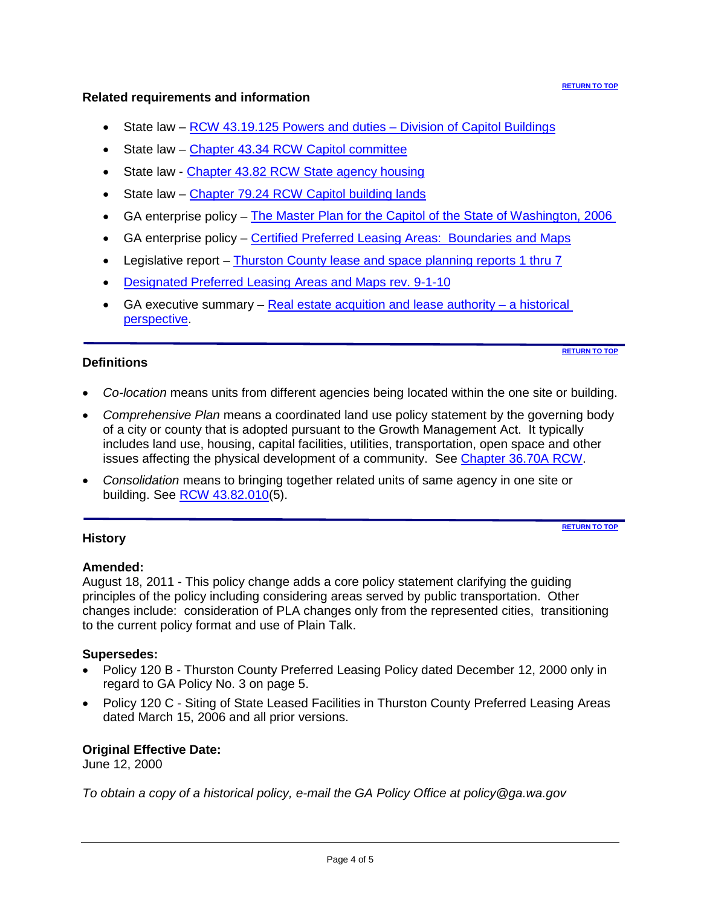#### **[RETURN TO TOP](#page-0-1)**

### <span id="page-3-0"></span>**Related requirements and information**

- State law RCW 43.19.125 Powers and duties [Division of Capitol Buildings](http://apps.leg.wa.gov/rcw/default.aspx?cite=43.19.125)
- State law [Chapter 43.34 RCW Capitol committee](http://apps.leg.wa.gov/RCW/default.aspx?cite=43.34)
- State law [Chapter 43.82 RCW State agency housing](http://apps.leg.wa.gov/rcw/default.aspx?cite=43.82)
- State law [Chapter 79.24 RCW Capitol building lands](http://apps.leg.wa.gov/rcw/default.aspx?cite=79.24)
- GA enterprise policy [The Master Plan for the Capitol of the State of Washington, 2006](http://www.ga.wa.gov/MasterPlan)
- GA enterprise policy [Certified Preferred Leasing Areas: Boundaries](http://www.ga.wa.gov/RES/forms/pda-pla.pdf) and Maps
- Legislative report [Thurston County lease and space planning reports 1 thru 7](http://www.ga.wa.gov/MasterPlan/#Reference_Documents)
- [Designated Preferred Leasing](http://www.ga.wa.gov/RES/forms/pda-pla.pdf) Areas and Maps rev. 9-1-10
- GA executive summary  $-$  [Real estate acquition and lease](http://www.ga.wa.gov/res/forms/LeaseAuthorityHistoricalPerspective.pdf) authority  $-$  a historical [perspective.](http://www.ga.wa.gov/res/forms/LeaseAuthorityHistoricalPerspective.pdf)

### <span id="page-3-1"></span>**Definitions**

**[RETURN TO TOP](#page-0-1)**

- *Co-location* means units from different agencies being located within the one site or building.
- *Comprehensive Plan* means a coordinated land use policy statement by the governing body of a city or county that is adopted pursuant to the Growth Management Act. It typically includes land use, housing, capital facilities, utilities, transportation, open space and other issues affecting the physical development of a community. See [Chapter 36.70A RCW.](http://apps.leg.wa.gov/rcw/default.aspx?cite=36.70A)
- <span id="page-3-3"></span>• *Consolidation* means to bringing together related units of same agency in one site or building. See [RCW 43.82.010\(](http://apps.leg.wa.gov/rcw/default.aspx?cite=43.82.010)5).

### <span id="page-3-2"></span>**History**

**[RETURN TO TOP](#page-0-1)**

### **Amended:**

August 18, 2011 - This policy change adds a core policy statement clarifying the guiding principles of the policy including considering areas served by public transportation. Other changes include: consideration of PLA changes only from the represented cities, transitioning to the current policy format and use of Plain Talk.

### **Supersedes:**

- Policy 120 B Thurston County Preferred Leasing Policy dated December 12, 2000 only in regard to GA Policy No. 3 on page 5.
- Policy 120 C Siting of State Leased Facilities in Thurston County Preferred Leasing Areas dated March 15, 2006 and all prior versions.

# **Original Effective Date:**

June 12, 2000

*To obtain a copy of a historical policy, e-mail the GA Policy Office at policy@ga.wa.gov*